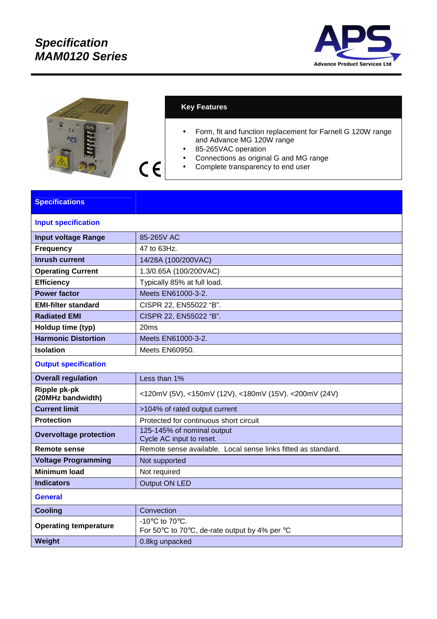

| <b>VOLTS</b><br>$c \in$<br>$+S$<br>ناءًا<br>٠<br><b>APS</b>                                                                 |  |
|-----------------------------------------------------------------------------------------------------------------------------|--|
| <b>PARS</b><br><b>HANO120</b><br><b>is</b><br>N.C.<br>NE<br><b>North</b><br>Vac.1976<br><b>RAMA</b><br><b>GUTHT</b><br>Dung |  |

## **Key Features**

 $C \in$ 

- Form, fit and function replacement for Farnell G 120W range and Advance MG 120W range
- 85-265VAC operation
- Connections as original G and MG range
- Complete transparency to end user

## **Specifications**

| <b>Input specification</b>        |                                                                                                        |  |
|-----------------------------------|--------------------------------------------------------------------------------------------------------|--|
| <b>Input voltage Range</b>        | 85-265V AC                                                                                             |  |
| <b>Frequency</b>                  | 47 to 63Hz.                                                                                            |  |
| <b>Inrush current</b>             | 14/28A (100/200VAC)                                                                                    |  |
| <b>Operating Current</b>          | 1.3/0.65A (100/200VAC)                                                                                 |  |
| <b>Efficiency</b>                 | Typically 85% at full load.                                                                            |  |
| <b>Power factor</b>               | Meets EN61000-3-2.                                                                                     |  |
| <b>EMI-filter standard</b>        | CISPR 22, EN55022 "B".                                                                                 |  |
| <b>Radiated EMI</b>               | CISPR 22, EN55022 "B".                                                                                 |  |
| Holdup time (typ)                 | 20ms                                                                                                   |  |
| <b>Harmonic Distortion</b>        | Meets EN61000-3-2.                                                                                     |  |
| <b>Isolation</b>                  | Meets EN60950.                                                                                         |  |
| <b>Output specification</b>       |                                                                                                        |  |
| <b>Overall regulation</b>         | Less than 1%                                                                                           |  |
| Ripple pk-pk<br>(20MHz bandwidth) | <120mV (5V), <150mV (12V), <180mV (15V). <200mV (24V)                                                  |  |
| <b>Current limit</b>              | >104% of rated output current                                                                          |  |
| <b>Protection</b>                 | Protected for continuous short circuit                                                                 |  |
| <b>Overvoltage protection</b>     | 125-145% of nominal output<br>Cycle AC input to reset.                                                 |  |
| <b>Remote sense</b>               | Remote sense available. Local sense links fitted as standard.                                          |  |
| <b>Voltage Programming</b>        | Not supported                                                                                          |  |
| <b>Minimum load</b>               | Not required                                                                                           |  |
| <b>Indicators</b>                 | <b>Output ON LED</b>                                                                                   |  |
| <b>General</b>                    |                                                                                                        |  |
| <b>Cooling</b>                    | Convection                                                                                             |  |
| <b>Operating temperature</b>      | -10 $\mathrm{^{\circ}C}$ to 70 $\mathrm{^{\circ}C}$ .<br>For 50°C to 70°C, de-rate output by 4% per °C |  |
| Weight                            | 0.8kg unpacked                                                                                         |  |